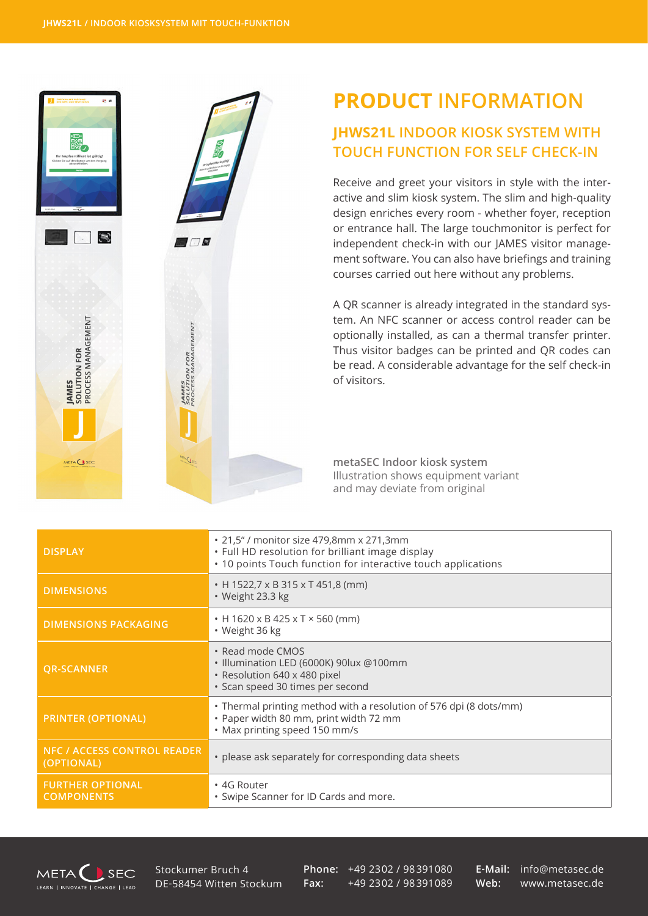$\blacksquare$ 

**JAMES**<br>SOLUTION FOR<br>PROCESS MANAGEMENT

ELA CIS

▓∕

 $\blacksquare$ 

**JAMES<br>SOLUTION FOR<br>PROCESS MANAGEMENT** 

METAC LSEC

## **PRODUCT INFORMATION**

## **JHWS21L INDOOR KIOSK SYSTEM WITH TOUCH FUNCTION FOR SELF CHECK-IN**

Receive and greet your visitors in style with the interactive and slim kiosk system. The slim and high-quality design enriches every room - whether foyer, reception or entrance hall. The large touchmonitor is perfect for independent check-in with our JAMES visitor management software. You can also have briefings and training courses carried out here without any problems.

A QR scanner is already integrated in the standard system. An NFC scanner or access control reader can be optionally installed, as can a thermal transfer printer. Thus visitor badges can be printed and QR codes can be read. A considerable advantage for the self check-in of visitors.

**metaSEC Indoor kiosk system** Illustration shows equipment variant and may deviate from original

| <b>DISPLAY</b>                                   | • 21,5" / monitor size 479,8mm x 271,3mm<br>. Full HD resolution for brilliant image display<br>• 10 points Touch function for interactive touch applications |
|--------------------------------------------------|---------------------------------------------------------------------------------------------------------------------------------------------------------------|
| <b>DIMENSIONS</b>                                | • H 1522,7 x B 315 x T 451,8 (mm)<br>· Weight 23.3 kg                                                                                                         |
| <b>DIMENSIONS PACKAGING</b>                      | $\cdot$ H 1620 x B 425 x T $\times$ 560 (mm)<br>• Weight 36 kg                                                                                                |
| <b>QR-SCANNER</b>                                | • Read mode CMOS<br>• Illumination LED (6000K) 90lux @100mm<br>· Resolution 640 x 480 pixel<br>· Scan speed 30 times per second                               |
| <b>PRINTER (OPTIONAL)</b>                        | • Thermal printing method with a resolution of 576 dpi (8 dots/mm)<br>· Paper width 80 mm, print width 72 mm<br>• Max printing speed 150 mm/s                 |
| <b>NFC / ACCESS CONTROL READER</b><br>(OPTIONAL) | • please ask separately for corresponding data sheets                                                                                                         |
| <b>FURTHER OPTIONAL</b><br><b>COMPONENTS</b>     | • 4G Router<br>• Swipe Scanner for ID Cards and more.                                                                                                         |



Stockumer Bruch 4 DE-58454 Witten Stockum **Phone:** +49 2302 / 98391080 **Fax:** +49 2302 / 98391089

**E-Mail:** info@metasec.de **Web:** www.metasec.de